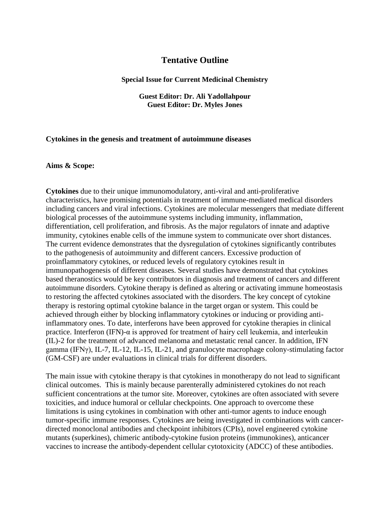# **Tentative Outline**

#### **Special Issue for Current Medicinal Chemistry**

## **Guest Editor: Dr. Ali Yadollahpour Guest Editor: Dr. Myles Jones**

#### **Cytokines in the genesis and treatment of autoimmune diseases**

## **Aims & Scope:**

**Cytokines** due to their unique immunomodulatory, anti-viral and anti-proliferative characteristics, have promising potentials in treatment of immune-mediated medical disorders including cancers and viral infections. Cytokines are molecular messengers that mediate different biological processes of the autoimmune systems including immunity, inflammation, differentiation, cell proliferation, and fibrosis. As the major regulators of innate and adaptive immunity, cytokines enable cells of the immune system to communicate over short distances. The current evidence demonstrates that the dysregulation of cytokines significantly contributes to the pathogenesis of autoimmunity and different cancers. Excessive production of proinflammatory cytokines, or reduced levels of regulatory cytokines result in immunopathogenesis of different diseases. Several studies have demonstrated that cytokines based theranostics would be key contributors in diagnosis and treatment of cancers and different autoimmune disorders. Cytokine therapy is defined as altering or activating immune homeostasis to restoring the affected cytokines associated with the disorders. The key concept of cytokine therapy is restoring optimal cytokine balance in the target organ or system. This could be achieved through either by blocking inflammatory cytokines or inducing or providing antiinflammatory ones. To date, interferons have been approved for cytokine therapies in clinical practice. Interferon (IFN)- $\alpha$  is approved for treatment of hairy cell leukemia, and interleukin (IL)-2 for the treatment of advanced melanoma and metastatic renal cancer. In addition, IFN gamma (IFNγ), IL-7, IL-12, IL-15, IL-21, and granulocyte macrophage colony-stimulating factor (GM-CSF) are under evaluations in clinical trials for different disorders.

The main issue with cytokine therapy is that cytokines in monotherapy do not lead to significant clinical outcomes. This is mainly because parenterally administered cytokines do not reach sufficient concentrations at the tumor site. Moreover, cytokines are often associated with severe toxicities, and induce humoral or cellular checkpoints. One approach to overcome these limitations is using cytokines in combination with other anti-tumor agents to induce enough tumor-specific immune responses. Cytokines are being investigated in combinations with cancerdirected monoclonal antibodies and checkpoint inhibitors (CPIs), novel engineered cytokine mutants (superkines), chimeric antibody-cytokine fusion proteins (immunokines), anticancer vaccines to increase the antibody-dependent cellular cytotoxicity (ADCC) of these antibodies.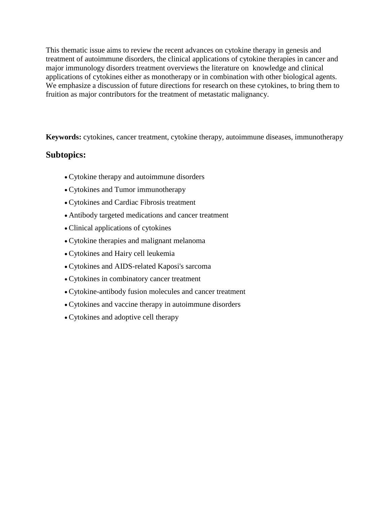This thematic issue aims to review the recent advances on cytokine therapy in genesis and treatment of autoimmune disorders, the clinical applications of cytokine therapies in cancer and major immunology disorders treatment overviews the literature on knowledge and clinical applications of cytokines either as monotherapy or in combination with other biological agents. We emphasize a discussion of future directions for research on these cytokines, to bring them to fruition as major contributors for the treatment of metastatic malignancy.

**Keywords:** cytokines, cancer treatment, cytokine therapy, autoimmune diseases, immunotherapy

# **Subtopics:**

- Cytokine therapy and autoimmune disorders
- Cytokines and Tumor immunotherapy
- Cytokines and Cardiac Fibrosis treatment
- Antibody targeted medications and cancer treatment
- Clinical applications of cytokines
- Cytokine therapies and malignant melanoma
- Cytokines and Hairy cell leukemia
- Cytokines and AIDS-related Kaposi's sarcoma
- Cytokines in combinatory cancer treatment
- Cytokine-antibody fusion molecules and cancer treatment
- Cytokines and vaccine therapy in autoimmune disorders
- Cytokines and adoptive cell therapy